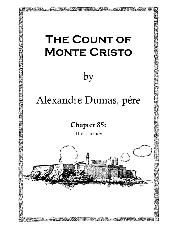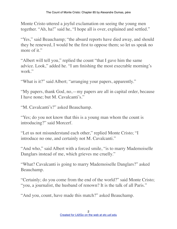Monte Cristo uttered a joyful exclamation on seeing the young men together. "Ah, ha!" said he, "I hope all is over, explained and settled."

"Yes," said Beauchamp; "the absurd reports have died away, and should they be renewed, I would be the first to oppose them; so let us speak no more of it."

"Albert will tell you," replied the count "that I gave him the same advice. Look," added he. "I am finishing the most execrable morning's work."

"What is it?" said Albert; "arranging your papers, apparently."

"My papers, thank God, no,—my papers are all in capital order, because I have none; but M. Cavalcanti's."

"M. Cavalcanti's?" asked Beauchamp.

"Yes; do you not know that this is a young man whom the count is introducing?" said Morcerf.

"Let us not misunderstand each other," replied Monte Cristo; "I introduce no one, and certainly not M. Cavalcanti."

"And who," said Albert with a forced smile, "is to marry Mademoiselle Danglars instead of me, which grieves me cruelly."

"What? Cavalcanti is going to marry Mademoiselle Danglars?" asked Beauchamp.

"Certainly; do you come from the end of the world?" said Monte Cristo; "you, a journalist, the husband of renown? It is the talk of all Paris."

"And you, count, have made this match?" asked Beauchamp.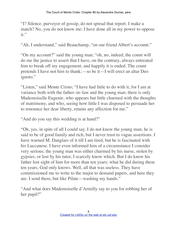"I? Silence, purveyor of gossip, do not spread that report. I make a match? No, you do not know me; I have done all in my power to oppose it."

"Ah, I understand," said Beauchamp, "on our friend Albert's account."

"On my account?" said the young man; "oh, no, indeed, the count will do me the justice to assert that I have, on the contrary, always entreated him to break off my engagement, and happily it is ended. The count pretends I have not him to thank;—so be it—I will erect an altar Deo ignoto."

"Listen," said Monte Cristo; "I have had little to do with it, for I am at variance both with the father–in–law and the young man; there is only Mademoiselle Eugenie, who appears but little charmed with the thoughts of matrimony, and who, seeing how little I was disposed to persuade her to renounce her dear liberty, retains any affection for me."

"And do you say this wedding is at hand?"

"Oh, yes, in spite of all I could say. I do not know the young man; he is said to be of good family and rich, but I never trust to vague assertions. I have warned M. Danglars of it till I am tired, but he is fascinated with his Luccanese. I have even informed him of a circumstance I consider very serious; the young man was either charmed by his nurse, stolen by gypsies, or lost by his tutor, I scarcely know which. But I do know his father lost sight of him for more than ten years; what he did during these ten years, God only knows. Well, all that was useless. They have commissioned me to write to the major to demand papers, and here they are. I send them, but like Pilate—washing my hands."

"And what does Mademoiselle d'Armilly say to you for robbing her of her pupil?"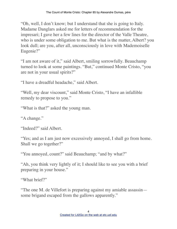"Oh, well, I don't know; but I understand that she is going to Italy. Madame Danglars asked me for letters of recommendation for the impresari; I gave her a few lines for the director of the Valle Theatre, who is under some obligation to me. But what is the matter, Albert? you look dull; are you, after all, unconsciously in love with Mademoiselle Eugenie?"

"I am not aware of it," said Albert, smiling sorrowfully. Beauchamp turned to look at some paintings. "But," continued Monte Cristo, "you are not in your usual spirits?"

"I have a dreadful headache," said Albert.

"Well, my dear viscount," said Monte Cristo, "I have an infallible remedy to propose to you."

"What is that?" asked the young man.

"A change."

"Indeed?" said Albert.

"Yes; and as I am just now excessively annoyed, I shall go from home. Shall we go together?"

"You annoyed, count?" said Beauchamp; "and by what?"

"Ah, you think very lightly of it; I should like to see you with a brief preparing in your house."

"What brief?"

"The one M. de Villefort is preparing against my amiable assassin some brigand escaped from the gallows apparently."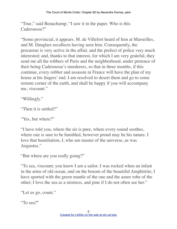"True," said Beauchamp; "I saw it in the paper. Who is this Caderousse?"

"Some provincial, it appears. M. de Villefort heard of him at Marseilles, and M. Danglars recollects having seen him. Consequently, the procureur is very active in the affair, and the prefect of police very much interested; and, thanks to that interest, for which I am very grateful, they send me all the robbers of Paris and the neighborhood, under pretence of their being Caderousse's murderers, so that in three months, if this continue, every robber and assassin in France will have the plan of my house at his fingers' end. I am resolved to desert them and go to some remote corner of the earth, and shall be happy if you will accompany me, viscount."

"Willingly."

```
"Then it is settled?"
```
"Yes, but where?"

"I have told you, where the air is pure, where every sound soothes, where one is sure to be humbled, however proud may be his nature. I love that humiliation, I, who am master of the universe, as was Augustus."

"But where are you really going?"

"To sea, viscount; you know I am a sailor. I was rocked when an infant in the arms of old ocean, and on the bosom of the beautiful Amphitrite; I have sported with the green mantle of the one and the azure robe of the other; I love the sea as a mistress, and pine if I do not often see her."

"Let us go, count."

"To sea?"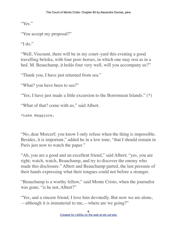"Yes."

"You accept my proposal?"

"I do."

"Well, Viscount, there will be in my court–yard this evening a good travelling britzka, with four post–horses, in which one may rest as in a bed. M. Beauchamp, it holds four very well, will you accompany us?"

"Thank you, I have just returned from sea."

"What? you have been to sea?"

"Yes; I have just made a little excursion to the Borromean Islands." (\*)

"What of that? come with us," said Albert.

\*Lake Maggiore.

"No, dear Morcerf; you know I only refuse when the thing is impossible. Besides, it is important," added he in a low tone, "that I should remain in Paris just now to watch the paper."

"Ah, you are a good and an excellent friend," said Albert; "yes, you are right; watch, watch, Beauchamp, and try to discover the enemy who made this disclosure." Albert and Beauchamp parted, the last pressure of their hands expressing what their tongues could not before a stranger.

"Beauchamp is a worthy fellow," said Monte Cristo, when the journalist was gone; "is he not, Albert?"

"Yes, and a sincere friend; I love him devotedly. But now we are alone, —although it is immaterial to me,—where are we going?"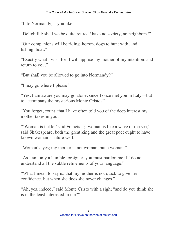"Into Normandy, if you like."

"Delightful; shall we be quite retired? have no society, no neighbors?"

"Our companions will be riding–horses, dogs to hunt with, and a fishing–boat."

"Exactly what I wish for; I will apprise my mother of my intention, and return to you."

"But shall you be allowed to go into Normandy?"

"I may go where I please."

"Yes, I am aware you may go alone, since I once met you in Italy—but to accompany the mysterious Monte Cristo?"

"You forget, count, that I have often told you of the deep interest my mother takes in you."

"'Woman is fickle.' said Francis I.; 'woman is like a wave of the sea,' said Shakespeare; both the great king and the great poet ought to have known woman's nature well."

"Woman's, yes; my mother is not woman, but a woman."

"As I am only a humble foreigner, you must pardon me if I do not understand all the subtle refinements of your language."

"What I mean to say is, that my mother is not quick to give her confidence, but when she does she never changes."

"Ah, yes, indeed," said Monte Cristo with a sigh; "and do you think she is in the least interested in me?"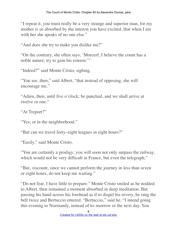"I repeat it, you must really be a very strange and superior man, for my mother is so absorbed by the interest you have excited, that when I am with her she speaks of no one else."

"And does she try to make you dislike me?"

"On the contrary, she often says, 'Morcerf, I believe the count has a noble nature; try to gain his esteem.'"

"Indeed?" said Monte Cristo, sighing.

"You see, then," said Albert, "that instead of opposing, she will encourage me."

"Adieu, then, until five o'clock; be punctual, and we shall arrive at twelve or one."

"At Treport?"

"Yes; or in the neighborhood."

"But can we travel forty–eight leagues in eight hours?"

"Easily," said Monte Cristo.

"You are certainly a prodigy; you will soon not only surpass the railway, which would not be very difficult in France, but even the telegraph."

"But, viscount, since we cannot perform the journey in less than seven or eight hours, do not keep me waiting."

"Do not fear, I have little to prepare." Monte Cristo smiled as he nodded to Albert, then remained a moment absorbed in deep meditation. But passing his hand across his forehead as if to dispel his revery, he rang the bell twice and Bertuccio entered. "Bertuccio," said he, "I intend going this evening to Normandy, instead of to–morrow or the next day. You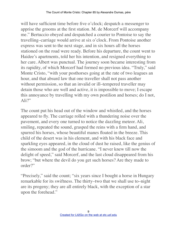will have sufficient time before five o'clock; despatch a messenger to apprise the grooms at the first station. M. de Morcerf will accompany me." Bertuccio obeyed and despatched a courier to Pontoise to say the travelling–carriage would arrive at six o'clock. From Pontoise another express was sent to the next stage, and in six hours all the horses stationed on the road were ready. Before his departure, the count went to Haidee's apartments, told her his intention, and resigned everything to her care. Albert was punctual. The journey soon became interesting from its rapidity, of which Morcerf had formed no previous idea. "Truly," said Monte Cristo, "with your posthorses going at the rate of two leagues an hour, and that absurd law that one traveller shall not pass another without permission, so that an invalid or ill–tempered traveller may detain those who are well and active, it is impossible to move; I escape this annoyance by travelling with my own postilion and horses; do I not,  $Ali?$ "

The count put his head out of the window and whistled, and the horses appeared to fly. The carriage rolled with a thundering noise over the pavement, and every one turned to notice the dazzling meteor. Ali, smiling, repeated the sound, grasped the reins with a firm hand, and spurred his horses, whose beautiful manes floated in the breeze. This child of the desert was in his element, and with his black face and sparkling eyes appeared, in the cloud of dust he raised, like the genius of the simoom and the god of the hurricane. "I never knew till now the delight of speed," said Morcerf, and the last cloud disappeared from his brow; "but where the devil do you get such horses? Are they made to order?"

"Precisely," said the count; "six years since I bought a horse in Hungary remarkable for its swiftness. The thirty–two that we shall use to–night are its progeny; they are all entirely black, with the exception of a star upon the forehead."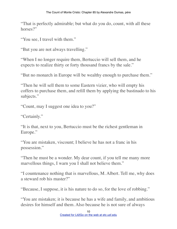"That is perfectly admirable; but what do you do, count, with all these horses?"

"You see, I travel with them."

"But you are not always travelling."

"When I no longer require them, Bertuccio will sell them, and he expects to realize thirty or forty thousand francs by the sale."

"But no monarch in Europe will be wealthy enough to purchase them."

"Then he will sell them to some Eastern vizier, who will empty his coffers to purchase them, and refill them by applying the bastinado to his subjects."

"Count, may I suggest one idea to you?"

"Certainly."

"It is that, next to you, Bertuccio must be the richest gentleman in Europe."

"You are mistaken, viscount; I believe he has not a franc in his possession."

"Then he must be a wonder. My dear count, if you tell me many more marvellous things, I warn you I shall not believe them."

"I countenance nothing that is marvellous, M. Albert. Tell me, why does a steward rob his master?"

"Because, I suppose, it is his nature to do so, for the love of robbing."

"You are mistaken; it is because he has a wife and family, and ambitious desires for himself and them. Also because he is not sure of always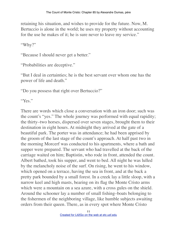retaining his situation, and wishes to provide for the future. Now, M. Bertuccio is alone in the world; he uses my property without accounting for the use he makes of it; he is sure never to leave my service."

"Why?"

"Because I should never get a better."

"Probabilities are deceptive."

"But I deal in certainties; he is the best servant over whom one has the power of life and death."

"Do you possess that right over Bertuccio?"

"Yes."

There are words which close a conversation with an iron door; such was the count's "yes." The whole journey was performed with equal rapidity; the thirty–two horses, dispersed over seven stages, brought them to their destination in eight hours. At midnight they arrived at the gate of a beautiful park. The porter was in attendance; he had been apprised by the groom of the last stage of the count's approach. At half past two in the morning Morcerf was conducted to his apartments, where a bath and supper were prepared. The servant who had travelled at the back of the carriage waited on him; Baptistin, who rode in front, attended the count. Albert bathed, took his supper, and went to bed. All night he was lulled by the melancholy noise of the surf. On rising, he went to his window, which opened on a terrace, having the sea in front, and at the back a pretty park bounded by a small forest. In a creek lay a little sloop, with a narrow keel and high masts, bearing on its flag the Monte Cristo arms which were a mountain on a sea azure, with a cross gules on the shield. Around the schooner lay a number of small fishing–boats belonging to the fishermen of the neighboring village, like humble subjects awaiting orders from their queen. There, as in every spot where Monte Cristo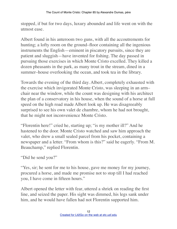stopped, if but for two days, luxury abounded and life went on with the utmost ease.

Albert found in his anteroom two guns, with all the accoutrements for hunting; a lofty room on the ground–floor containing all the ingenious instruments the English—eminent in piscatory pursuits, since they are patient and sluggish—have invented for fishing. The day passed in pursuing those exercises in which Monte Cristo excelled. They killed a dozen pheasants in the park, as many trout in the stream, dined in a summer–house overlooking the ocean, and took tea in the library.

Towards the evening of the third day. Albert, completely exhausted with the exercise which invigorated Monte Cristo, was sleeping in an arm– chair near the window, while the count was designing with his architect the plan of a conservatory in his house, when the sound of a horse at full speed on the high road made Albert look up. He was disagreeably surprised to see his own valet de chambre, whom he had not brought, that he might not inconvenience Monte Cristo.

"Florentin here!" cried he, starting up; "is my mother ill?" And he hastened to the door. Monte Cristo watched and saw him approach the valet, who drew a small sealed parcel from his pocket, containing a newspaper and a letter. "From whom is this?" said he eagerly. "From M. Beauchamp," replied Florentin.

"Did he send you?"

"Yes, sir; he sent for me to his house, gave me money for my journey, procured a horse, and made me promise not to stop till I had reached you, I have come in fifteen hours."

Albert opened the letter with fear, uttered a shriek on reading the first line, and seized the paper. His sight was dimmed, his legs sank under him, and he would have fallen had not Florentin supported him.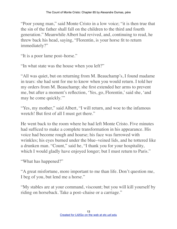"Poor young man," said Monte Cristo in a low voice; "it is then true that the sin of the father shall fall on the children to the third and fourth generation." Meanwhile Albert had revived, and, continuing to read, he threw back his head, saying, "Florentin, is your horse fit to return immediately?"

"It is a poor lame post–horse."

"In what state was the house when you left?"

"All was quiet, but on returning from M. Beauchamp's, I found madame in tears: she had sent for me to know when you would return. I told her my orders from M. Beauchamp; she first extended her arms to prevent me, but after a moment's reflection, 'Yes, go, Florentin,' said she, 'and may he come quickly.'"

"Yes, my mother," said Albert, "I will return, and woe to the infamous wretch! But first of all I must get there."

He went back to the room where he had left Monte Cristo. Five minutes had sufficed to make a complete transformation in his appearance. His voice had become rough and hoarse; his face was furrowed with wrinkles; his eyes burned under the blue–veined lids, and he tottered like a drunken man. "Count," said he, "I thank you for your hospitality, which I would gladly have enjoyed longer; but I must return to Paris."

"What has happened?"

"A great misfortune, more important to me than life. Don't question me, I beg of you, but lend me a horse."

"My stables are at your command, viscount; but you will kill yourself by riding on horseback. Take a post–chaise or a carriage."